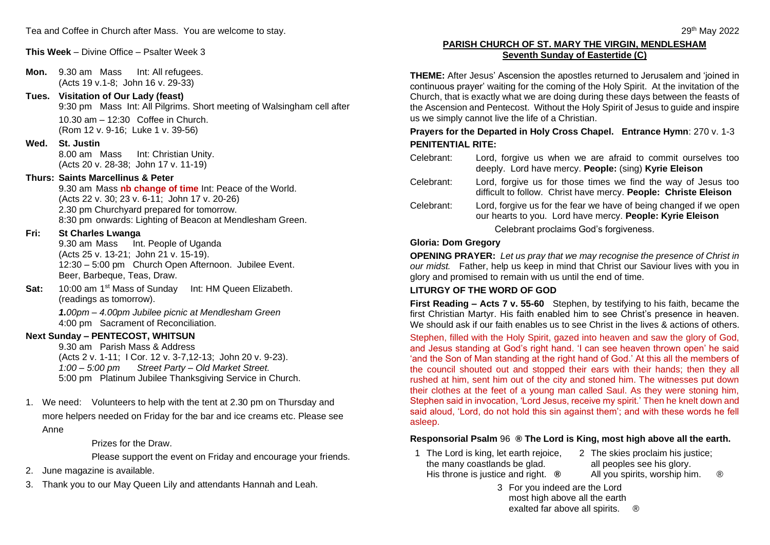**This Week** – Divine Office – Psalter Week 3

**Mon.** 9.30 am Mass Int: All refugees. (Acts 19 v.1-8; John 16 v. 29-33)

**Tues. Visitation of Our Lady (feast)**

9:30 pm Mass Int: All Pilgrims. Short meeting of Walsingham cell after 10.30 am – 12:30 Coffee in Church. (Rom 12 v. 9-16; Luke 1 v. 39-56)

#### **Wed. St. Justin**

8.00 am Mass Int: Christian Unity. (Acts 20 v. 28-38; John 17 v. 11-19)

### **Thurs: Saints Marcellinus & Peter**

9.30 am Mass **nb change of time** Int: Peace of the World. (Acts 22 v. 30; 23 v. 6-11; John 17 v. 20-26) 2.30 pm Churchyard prepared for tomorrow. 8:30 pm onwards: Lighting of Beacon at Mendlesham Green.

#### **Fri: St Charles Lwanga**

9.30 am Mass Int. People of Uganda (Acts 25 v. 13-21; John 21 v. 15-19). 12:30 – 5:00 pm Church Open Afternoon. Jubilee Event. Beer, Barbeque, Teas, Draw.

Sat: 10:00 am 1<sup>st</sup> Mass of Sunday Int: HM Queen Elizabeth. (readings as tomorrow).

> *1.00pm – 4.00pm Jubilee picnic at Mendlesham Green* 4:00 pm Sacrament of Reconciliation.

#### **Next Sunday – PENTECOST, WHITSUN**

9.30 am Parish Mass & Address (Acts 2 v. 1-11; I Cor. 12 v. 3-7,12-13; John 20 v. 9-23). *1:00 – 5:00 pm Street Party – Old Market Street.* 5:00 pm Platinum Jubilee Thanksgiving Service in Church.

1. We need: Volunteers to help with the tent at 2.30 pm on Thursday and more helpers needed on Friday for the bar and ice creams etc. Please see Anne

Prizes for the Draw.

Please support the event on Friday and encourage your friends.

- 2. June magazine is available.
- 3. Thank you to our May Queen Lily and attendants Hannah and Leah.

## **PARISH CHURCH OF ST. MARY THE VIRGIN, MENDLESHAM Seventh Sunday of Eastertide (C)**

**THEME:** After Jesus' Ascension the apostles returned to Jerusalem and 'joined in continuous prayer' waiting for the coming of the Holy Spirit. At the invitation of the Church, that is exactly what we are doing during these days between the feasts of the Ascension and Pentecost. Without the Holy Spirit of Jesus to guide and inspire us we simply cannot live the life of a Christian.

# **Prayers for the Departed in Holy Cross Chapel. Entrance Hymn**: 270 v. 1-3 **PENITENTIAL RITE:**

- Celebrant: Lord, forgive us when we are afraid to commit ourselves too deeply. Lord have mercy. **People:** (sing) **Kyrie Eleison**
- Celebrant: Lord, forgive us for those times we find the way of Jesus too difficult to follow. Christ have mercy. **People: Christe Eleison**
- Celebrant: Lord, forgive us for the fear we have of being changed if we open our hearts to you. Lord have mercy. **People: Kyrie Eleison**

#### Celebrant proclaims God's forgiveness.

#### **Gloria: Dom Gregory**

**OPENING PRAYER:** *Let us pray that we may recognise the presence of Christ in our midst.* Father, help us keep in mind that Christ our Saviour lives with you in glory and promised to remain with us until the end of time.

### **LITURGY OF THE WORD OF GOD**

**First Reading** *–* **Acts 7 v. 55-60** Stephen, by testifying to his faith, became the first Christian Martyr. His faith enabled him to see Christ's presence in heaven. We should ask if our faith enables us to see Christ in the lives & actions of others.

Stephen, filled with the Holy Spirit, gazed into heaven and saw the glory of God, and Jesus standing at God's right hand. 'I can see heaven thrown open' he said 'and the Son of Man standing at the right hand of God.' At this all the members of the council shouted out and stopped their ears with their hands; then they all rushed at him, sent him out of the city and stoned him. The witnesses put down their clothes at the feet of a young man called Saul. As they were stoning him, Stephen said in invocation, 'Lord Jesus, receive my spirit.' Then he knelt down and said aloud, 'Lord, do not hold this sin against them'; and with these words he fell asleep.

#### **Responsorial Psalm** 96 **® The Lord is King, most high above all the earth.**

- 1 The Lord is king, let earth rejoice, the many coastlands be glad. His throne is justice and right. **®** 2 The skies proclaim his justice;
	- all peoples see his glory. All you spirits, worship him.  $\circledR$
	- 3 For you indeed are the Lord most high above all the earth exalted far above all spirits. <sup>®</sup>